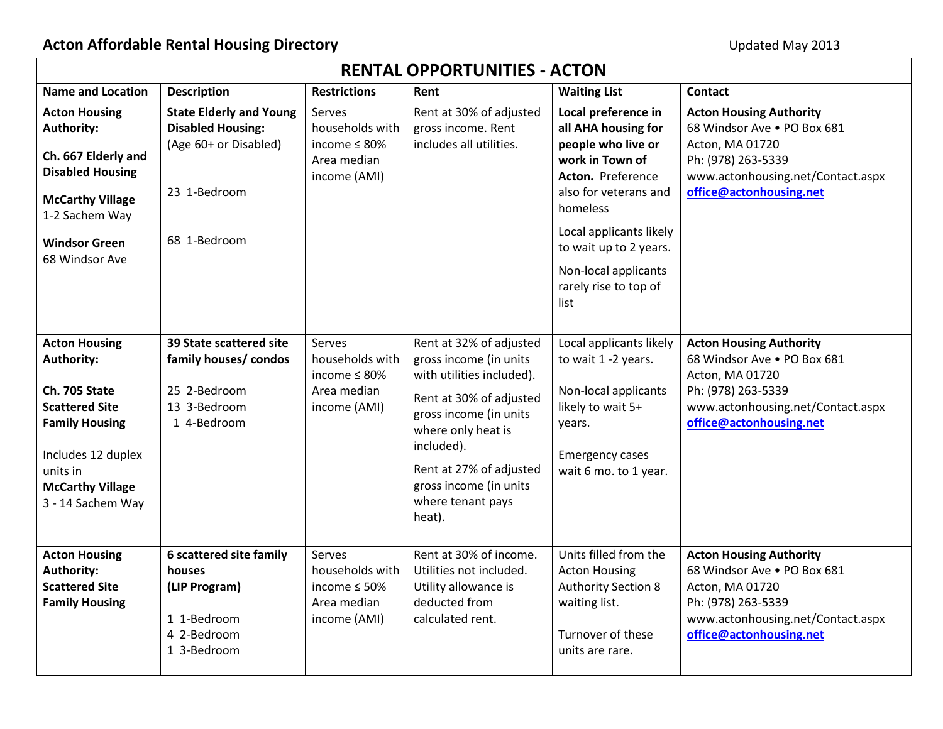| <b>RENTAL OPPORTUNITIES - ACTON</b>                                                                                                                                                     |                                                                                                                     |                                                                                |                                                                                                                                                                                                                                                             |                                                                                                                                                                                                                                                             |                                                                                                                                                                        |  |  |
|-----------------------------------------------------------------------------------------------------------------------------------------------------------------------------------------|---------------------------------------------------------------------------------------------------------------------|--------------------------------------------------------------------------------|-------------------------------------------------------------------------------------------------------------------------------------------------------------------------------------------------------------------------------------------------------------|-------------------------------------------------------------------------------------------------------------------------------------------------------------------------------------------------------------------------------------------------------------|------------------------------------------------------------------------------------------------------------------------------------------------------------------------|--|--|
| <b>Name and Location</b>                                                                                                                                                                | <b>Description</b>                                                                                                  | <b>Restrictions</b>                                                            | Rent                                                                                                                                                                                                                                                        | <b>Waiting List</b>                                                                                                                                                                                                                                         | <b>Contact</b>                                                                                                                                                         |  |  |
| <b>Acton Housing</b><br><b>Authority:</b><br>Ch. 667 Elderly and<br><b>Disabled Housing</b><br><b>McCarthy Village</b><br>1-2 Sachem Way<br><b>Windsor Green</b><br>68 Windsor Ave      | <b>State Elderly and Young</b><br><b>Disabled Housing:</b><br>(Age 60+ or Disabled)<br>23 1-Bedroom<br>68 1-Bedroom | Serves<br>households with<br>income $\leq 80\%$<br>Area median<br>income (AMI) | Rent at 30% of adjusted<br>gross income. Rent<br>includes all utilities.                                                                                                                                                                                    | Local preference in<br>all AHA housing for<br>people who live or<br>work in Town of<br>Acton. Preference<br>also for veterans and<br>homeless<br>Local applicants likely<br>to wait up to 2 years.<br>Non-local applicants<br>rarely rise to top of<br>list | <b>Acton Housing Authority</b><br>68 Windsor Ave . PO Box 681<br>Acton, MA 01720<br>Ph: (978) 263-5339<br>www.actonhousing.net/Contact.aspx<br>office@actonhousing.net |  |  |
| <b>Acton Housing</b><br>Authority:<br>Ch. 705 State<br><b>Scattered Site</b><br><b>Family Housing</b><br>Includes 12 duplex<br>units in<br><b>McCarthy Village</b><br>3 - 14 Sachem Way | 39 State scattered site<br>family houses/ condos<br>25 2-Bedroom<br>13 3-Bedroom<br>1 4-Bedroom                     | Serves<br>households with<br>income $\leq 80\%$<br>Area median<br>income (AMI) | Rent at 32% of adjusted<br>gross income (in units<br>with utilities included).<br>Rent at 30% of adjusted<br>gross income (in units<br>where only heat is<br>included).<br>Rent at 27% of adjusted<br>gross income (in units<br>where tenant pays<br>heat). | Local applicants likely<br>to wait 1 -2 years.<br>Non-local applicants<br>likely to wait 5+<br>years.<br><b>Emergency cases</b><br>wait 6 mo. to 1 year.                                                                                                    | <b>Acton Housing Authority</b><br>68 Windsor Ave . PO Box 681<br>Acton, MA 01720<br>Ph: (978) 263-5339<br>www.actonhousing.net/Contact.aspx<br>office@actonhousing.net |  |  |
| <b>Acton Housing</b><br><b>Authority:</b><br><b>Scattered Site</b><br><b>Family Housing</b>                                                                                             | 6 scattered site family<br>houses<br>(LIP Program)<br>1 1-Bedroom<br>4 2-Bedroom<br>1 3-Bedroom                     | Serves<br>households with<br>income $\leq 50\%$<br>Area median<br>income (AMI) | Rent at 30% of income.<br>Utilities not included.<br>Utility allowance is<br>deducted from<br>calculated rent.                                                                                                                                              | Units filled from the<br><b>Acton Housing</b><br><b>Authority Section 8</b><br>waiting list.<br>Turnover of these<br>units are rare.                                                                                                                        | <b>Acton Housing Authority</b><br>68 Windsor Ave . PO Box 681<br>Acton, MA 01720<br>Ph: (978) 263-5339<br>www.actonhousing.net/Contact.aspx<br>office@actonhousing.net |  |  |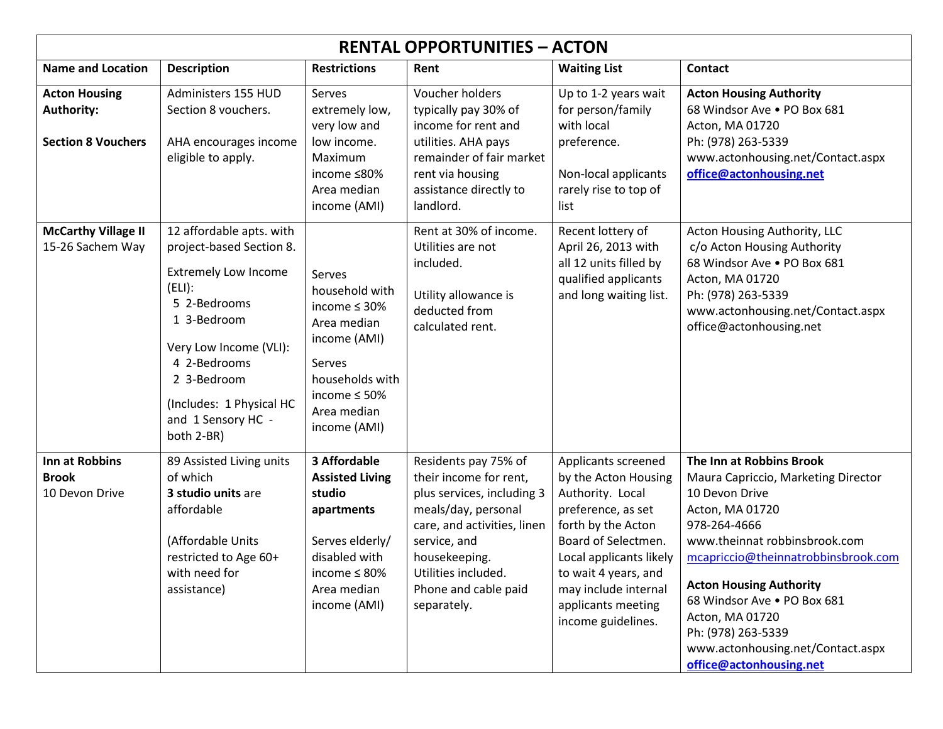| <b>RENTAL OPPORTUNITIES - ACTON</b>                             |                                                                                                                                                                                                                                                       |                                                                                                                                                                |                                                                                                                                                                                                                                   |                                                                                                                                                                                                                                                           |                                                                                                                                                                                                                                                                                                                                                                        |  |
|-----------------------------------------------------------------|-------------------------------------------------------------------------------------------------------------------------------------------------------------------------------------------------------------------------------------------------------|----------------------------------------------------------------------------------------------------------------------------------------------------------------|-----------------------------------------------------------------------------------------------------------------------------------------------------------------------------------------------------------------------------------|-----------------------------------------------------------------------------------------------------------------------------------------------------------------------------------------------------------------------------------------------------------|------------------------------------------------------------------------------------------------------------------------------------------------------------------------------------------------------------------------------------------------------------------------------------------------------------------------------------------------------------------------|--|
| <b>Name and Location</b>                                        | <b>Description</b>                                                                                                                                                                                                                                    | <b>Restrictions</b>                                                                                                                                            | Rent                                                                                                                                                                                                                              | <b>Waiting List</b>                                                                                                                                                                                                                                       | <b>Contact</b>                                                                                                                                                                                                                                                                                                                                                         |  |
| <b>Acton Housing</b><br>Authority:<br><b>Section 8 Vouchers</b> | Administers 155 HUD<br>Section 8 vouchers.<br>AHA encourages income<br>eligible to apply.                                                                                                                                                             | Serves<br>extremely low,<br>very low and<br>low income.<br>Maximum<br>income ≤80%<br>Area median<br>income (AMI)                                               | Voucher holders<br>typically pay 30% of<br>income for rent and<br>utilities. AHA pays<br>remainder of fair market<br>rent via housing<br>assistance directly to<br>landlord.                                                      | Up to 1-2 years wait<br>for person/family<br>with local<br>preference.<br>Non-local applicants<br>rarely rise to top of<br>list                                                                                                                           | <b>Acton Housing Authority</b><br>68 Windsor Ave . PO Box 681<br>Acton, MA 01720<br>Ph: (978) 263-5339<br>www.actonhousing.net/Contact.aspx<br>office@actonhousing.net                                                                                                                                                                                                 |  |
| <b>McCarthy Village II</b><br>15-26 Sachem Way                  | 12 affordable apts. with<br>project-based Section 8.<br><b>Extremely Low Income</b><br>(ELI):<br>5 2-Bedrooms<br>1 3-Bedroom<br>Very Low Income (VLI):<br>4 2-Bedrooms<br>2 3-Bedroom<br>(Includes: 1 Physical HC<br>and 1 Sensory HC -<br>both 2-BR) | Serves<br>household with<br>income $\leq$ 30%<br>Area median<br>income (AMI)<br>Serves<br>households with<br>income $\leq 50\%$<br>Area median<br>income (AMI) | Rent at 30% of income.<br>Utilities are not<br>included.<br>Utility allowance is<br>deducted from<br>calculated rent.                                                                                                             | Recent lottery of<br>April 26, 2013 with<br>all 12 units filled by<br>qualified applicants<br>and long waiting list.                                                                                                                                      | Acton Housing Authority, LLC<br>c/o Acton Housing Authority<br>68 Windsor Ave . PO Box 681<br>Acton, MA 01720<br>Ph: (978) 263-5339<br>www.actonhousing.net/Contact.aspx<br>office@actonhousing.net                                                                                                                                                                    |  |
| Inn at Robbins<br><b>Brook</b><br>10 Devon Drive                | 89 Assisted Living units<br>of which<br>3 studio units are<br>affordable<br>(Affordable Units<br>restricted to Age 60+<br>with need for<br>assistance)                                                                                                | 3 Affordable<br><b>Assisted Living</b><br>studio<br>apartments<br>Serves elderly/<br>disabled with<br>income $\leq 80\%$<br>Area median<br>income (AMI)        | Residents pay 75% of<br>their income for rent,<br>plus services, including 3<br>meals/day, personal<br>care, and activities, linen<br>service, and<br>housekeeping.<br>Utilities included.<br>Phone and cable paid<br>separately. | Applicants screened<br>by the Acton Housing<br>Authority. Local<br>preference, as set<br>forth by the Acton<br>Board of Selectmen.<br>Local applicants likely<br>to wait 4 years, and<br>may include internal<br>applicants meeting<br>income guidelines. | The Inn at Robbins Brook<br>Maura Capriccio, Marketing Director<br>10 Devon Drive<br>Acton, MA 01720<br>978-264-4666<br>www.theinnat robbinsbrook.com<br>mcapriccio@theinnatrobbinsbrook.com<br><b>Acton Housing Authority</b><br>68 Windsor Ave . PO Box 681<br>Acton, MA 01720<br>Ph: (978) 263-5339<br>www.actonhousing.net/Contact.aspx<br>office@actonhousing.net |  |